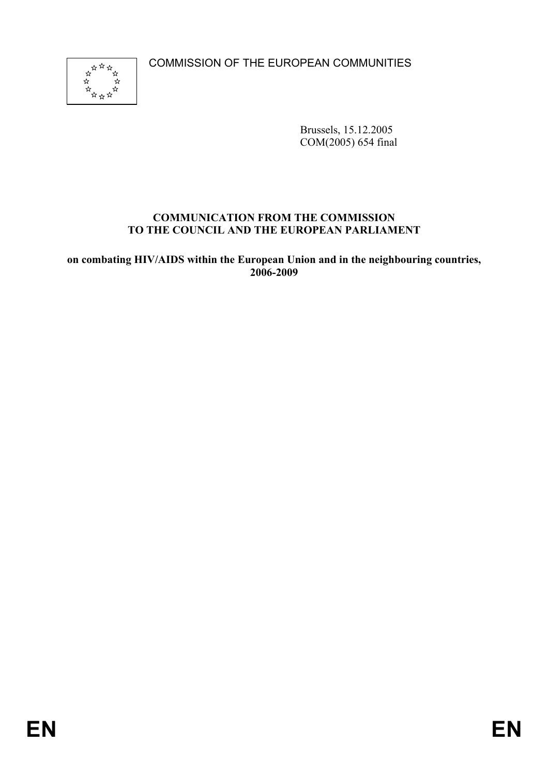COMMISSION OF THE EUROPEAN COMMUNITIES



Brussels, 15.12.2005 COM(2005) 654 final

#### **COMMUNICATION FROM THE COMMISSION TO THE COUNCIL AND THE EUROPEAN PARLIAMENT**

**on combating HIV/AIDS within the European Union and in the neighbouring countries, 2006-2009**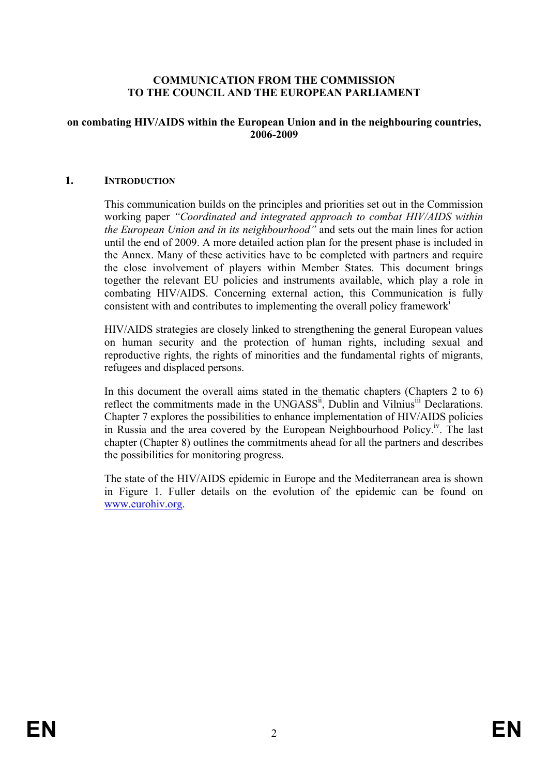#### **COMMUNICATION FROM THE COMMISSION TO THE COUNCIL AND THE EUROPEAN PARLIAMENT**

#### **on combating HIV/AIDS within the European Union and in the neighbouring countries, 2006-2009**

#### **1. INTRODUCTION**

This communication builds on the principles and priorities set out in the Commission working paper *"Coordinated and integrated approach to combat HIV/AIDS within the European Union and in its neighbourhood"* and sets out the main lines for action until the end of 2009. A more detailed action plan for the present phase is included in the Annex. Many of these activities have to be completed with partners and require the close involvement of players within Member States. This document brings together the relevant EU policies and instruments available, which play a role in combating HIV/AIDS. Concerning external action, this Communication is fully consistent with and contributes to implementing the overall policy frameworki

HIV/AIDS strategies are closely linked to strengthening the general European values on human security and the protection of human rights, including sexual and reproductive rights, the rights of minorities and the fundamental rights of migrants, refugees and displaced persons.

In this document the overall aims stated in the thematic chapters (Chapters 2 to 6) reflect the commitments made in the UNGASS<sup>ii</sup>, Dublin and Vilnius<sup>iii</sup> Declarations. Chapter 7 explores the possibilities to enhance implementation of HIV/AIDS policies in Russia and the area covered by the European Neighbourhood Policy.<sup>iv</sup>. The last chapter (Chapter 8) outlines the commitments ahead for all the partners and describes the possibilities for monitoring progress.

The state of the HIV/AIDS epidemic in Europe and the Mediterranean area is shown in Figure 1. Fuller details on the evolution of the epidemic can be found on www.eurohiv.org.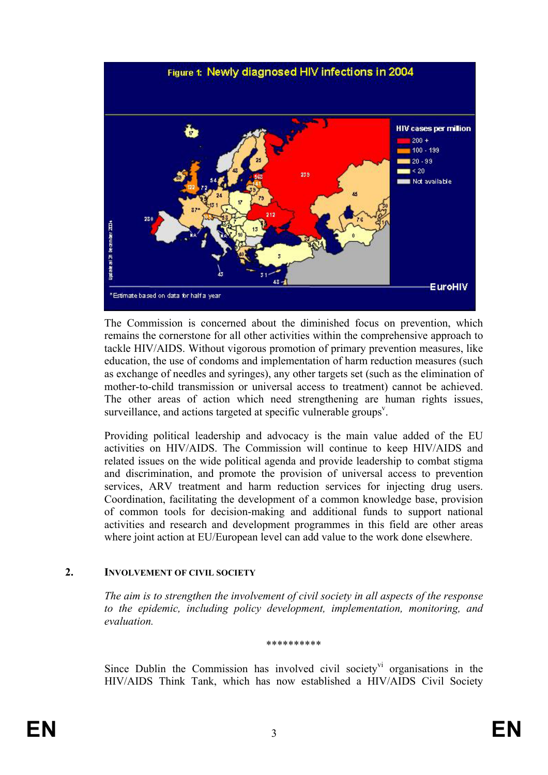

The Commission is concerned about the diminished focus on prevention, which remains the cornerstone for all other activities within the comprehensive approach to tackle HIV/AIDS. Without vigorous promotion of primary prevention measures, like education, the use of condoms and implementation of harm reduction measures (such as exchange of needles and syringes), any other targets set (such as the elimination of mother-to-child transmission or universal access to treatment) cannot be achieved. The other areas of action which need strengthening are human rights issues, surveillance, and actions targeted at specific vulnerable groups<sup>v</sup>.

Providing political leadership and advocacy is the main value added of the EU activities on HIV/AIDS. The Commission will continue to keep HIV/AIDS and related issues on the wide political agenda and provide leadership to combat stigma and discrimination, and promote the provision of universal access to prevention services, ARV treatment and harm reduction services for injecting drug users. Coordination, facilitating the development of a common knowledge base, provision of common tools for decision-making and additional funds to support national activities and research and development programmes in this field are other areas where joint action at EU/European level can add value to the work done elsewhere.

#### **2. INVOLVEMENT OF CIVIL SOCIETY**

*The aim is to strengthen the involvement of civil society in all aspects of the response to the epidemic, including policy development, implementation, monitoring, and evaluation.* 

\*\*\*\*\*\*\*\*\*\*

Since Dublin the Commission has involved civil society<sup>vi</sup> organisations in the HIV/AIDS Think Tank, which has now established a HIV/AIDS Civil Society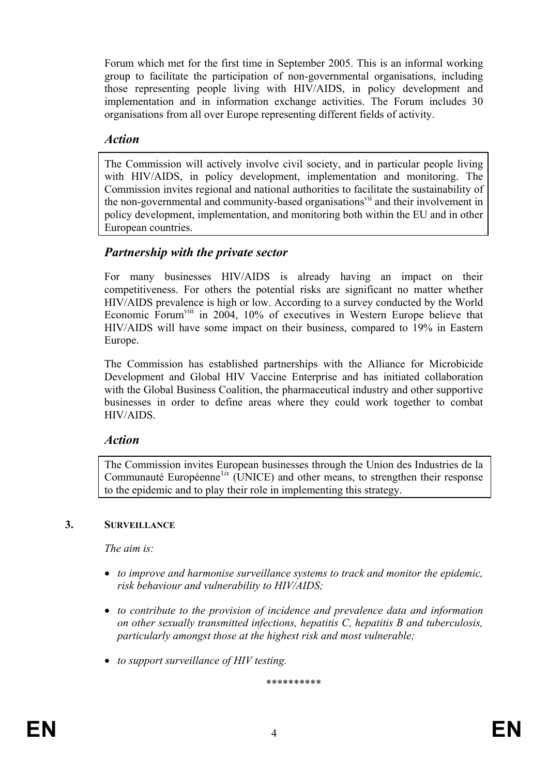Forum which met for the first time in September 2005. This is an informal working group to facilitate the participation of non-governmental organisations, including those representing people living with HIV/AIDS, in policy development and implementation and in information exchange activities. The Forum includes 30 organisations from all over Europe representing different fields of activity.

### *Action*

The Commission will actively involve civil society, and in particular people living with HIV/AIDS, in policy development, implementation and monitoring. The Commission invites regional and national authorities to facilitate the sustainability of the non-governmental and community-based organisations<sup>vii</sup> and their involvement in policy development, implementation, and monitoring both within the EU and in other European countries.

# *Partnership with the private sector*

For many businesses HIV/AIDS is already having an impact on their competitiveness. For others the potential risks are significant no matter whether HIV/AIDS prevalence is high or low. According to a survey conducted by the World Economic Forumviii in 2004, 10% of executives in Western Europe believe that HIV/AIDS will have some impact on their business, compared to 19% in Eastern Europe.

The Commission has established partnerships with the Alliance for Microbicide Development and Global HIV Vaccine Enterprise and has initiated collaboration with the Global Business Coalition, the pharmaceutical industry and other supportive businesses in order to define areas where they could work together to combat HIV/AIDS.

# *Action*

The Commission invites European businesses through the Union des Industries de la Communauté Européenne<sup> $1ix$ </sup> (UNICE) and other means, to strengthen their response to the epidemic and to play their role in implementing this strategy.

### **3. SURVEILLANCE**

*The aim is:* 

- *to improve and harmonise surveillance systems to track and monitor the epidemic, risk behaviour and vulnerability to HIV/AIDS;*
- *to contribute to the provision of incidence and prevalence data and information on other sexually transmitted infections, hepatitis C, hepatitis B and tuberculosis, particularly amongst those at the highest risk and most vulnerable;*
- *to support surveillance of HIV testing.*

\*\*\*\*\*\*\*\*\*\*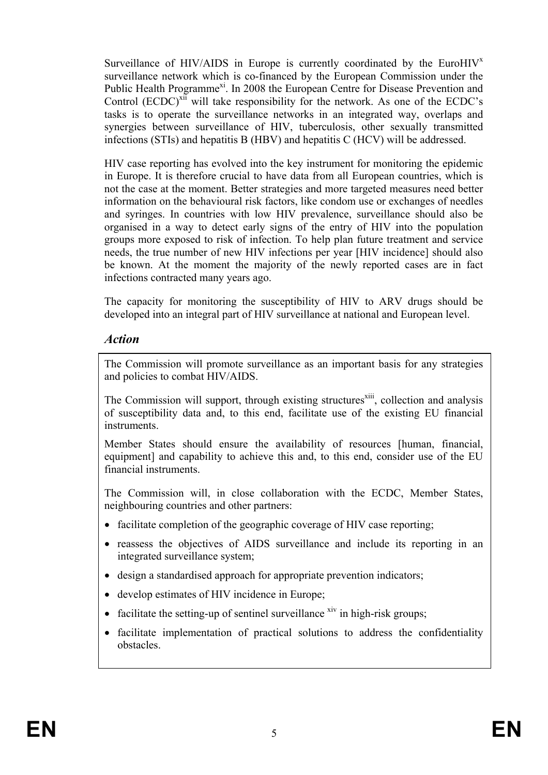Surveillance of HIV/AIDS in Europe is currently coordinated by the EuroHIV $^x$ surveillance network which is co-financed by the European Commission under the Public Health Programme<sup>xi</sup>. In 2008 the European Centre for Disease Prevention and Control (ECDC)<sup>xii</sup> will take responsibility for the network. As one of the ECDC's tasks is to operate the surveillance networks in an integrated way, overlaps and synergies between surveillance of HIV, tuberculosis, other sexually transmitted infections (STIs) and hepatitis B (HBV) and hepatitis C (HCV) will be addressed.

HIV case reporting has evolved into the key instrument for monitoring the epidemic in Europe. It is therefore crucial to have data from all European countries, which is not the case at the moment. Better strategies and more targeted measures need better information on the behavioural risk factors, like condom use or exchanges of needles and syringes. In countries with low HIV prevalence, surveillance should also be organised in a way to detect early signs of the entry of HIV into the population groups more exposed to risk of infection. To help plan future treatment and service needs, the true number of new HIV infections per year [HIV incidence] should also be known. At the moment the majority of the newly reported cases are in fact infections contracted many years ago.

The capacity for monitoring the susceptibility of HIV to ARV drugs should be developed into an integral part of HIV surveillance at national and European level.

# *Action*

The Commission will promote surveillance as an important basis for any strategies and policies to combat HIV/AIDS.

The Commission will support, through existing structures<sup>xiii</sup>, collection and analysis of susceptibility data and, to this end, facilitate use of the existing EU financial instruments.

Member States should ensure the availability of resources [human, financial, equipment] and capability to achieve this and, to this end, consider use of the EU financial instruments.

The Commission will, in close collaboration with the ECDC, Member States, neighbouring countries and other partners:

- facilitate completion of the geographic coverage of HIV case reporting;
- reassess the objectives of AIDS surveillance and include its reporting in an integrated surveillance system;
- design a standardised approach for appropriate prevention indicators;
- develop estimates of HIV incidence in Europe;
- facilitate the setting-up of sentinel surveillance  $\frac{div}{dx}$  in high-risk groups;
- facilitate implementation of practical solutions to address the confidentiality obstacles.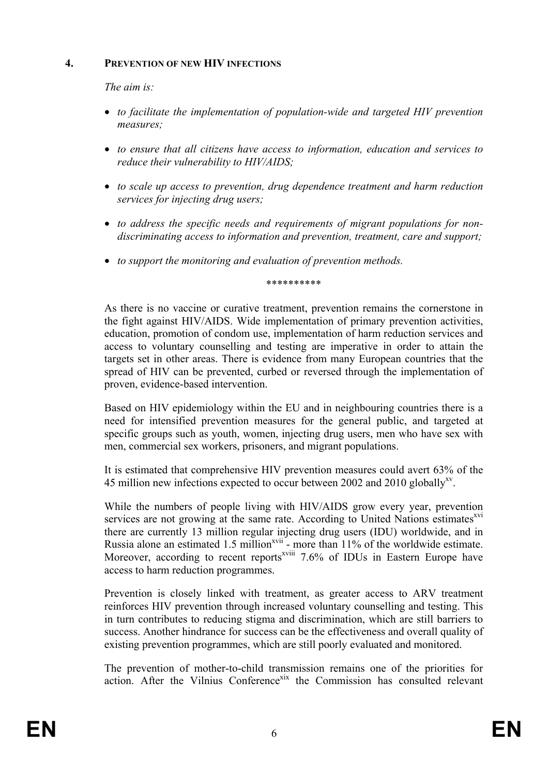#### **4. PREVENTION OF NEW HIV INFECTIONS**

*The aim is:* 

- *to facilitate the implementation of population-wide and targeted HIV prevention measures;*
- *to ensure that all citizens have access to information, education and services to reduce their vulnerability to HIV/AIDS;*
- *to scale up access to prevention, drug dependence treatment and harm reduction services for injecting drug users;*
- *to address the specific needs and requirements of migrant populations for nondiscriminating access to information and prevention, treatment, care and support;*
- *to support the monitoring and evaluation of prevention methods.*

\*\*\*\*\*\*\*\*\*\*

As there is no vaccine or curative treatment, prevention remains the cornerstone in the fight against HIV/AIDS. Wide implementation of primary prevention activities, education, promotion of condom use, implementation of harm reduction services and access to voluntary counselling and testing are imperative in order to attain the targets set in other areas. There is evidence from many European countries that the spread of HIV can be prevented, curbed or reversed through the implementation of proven, evidence-based intervention.

Based on HIV epidemiology within the EU and in neighbouring countries there is a need for intensified prevention measures for the general public, and targeted at specific groups such as youth, women, injecting drug users, men who have sex with men, commercial sex workers, prisoners, and migrant populations.

It is estimated that comprehensive HIV prevention measures could avert 63% of the 45 million new infections expected to occur between 2002 and 2010 globally<sup>xy</sup>.

While the numbers of people living with HIV/AIDS grow every year, prevention services are not growing at the same rate. According to United Nations estimates<sup>xvi</sup> there are currently 13 million regular injecting drug users (IDU) worldwide, and in Russia alone an estimated 1.5 million<sup>xvii</sup> - more than 11% of the worldwide estimate. Moreover, according to recent reports<sup>xviii</sup> 7.6% of IDUs in Eastern Europe have access to harm reduction programmes.

Prevention is closely linked with treatment, as greater access to ARV treatment reinforces HIV prevention through increased voluntary counselling and testing. This in turn contributes to reducing stigma and discrimination, which are still barriers to success. Another hindrance for success can be the effectiveness and overall quality of existing prevention programmes, which are still poorly evaluated and monitored.

The prevention of mother-to-child transmission remains one of the priorities for action. After the Vilnius Conference<sup>xix</sup> the Commission has consulted relevant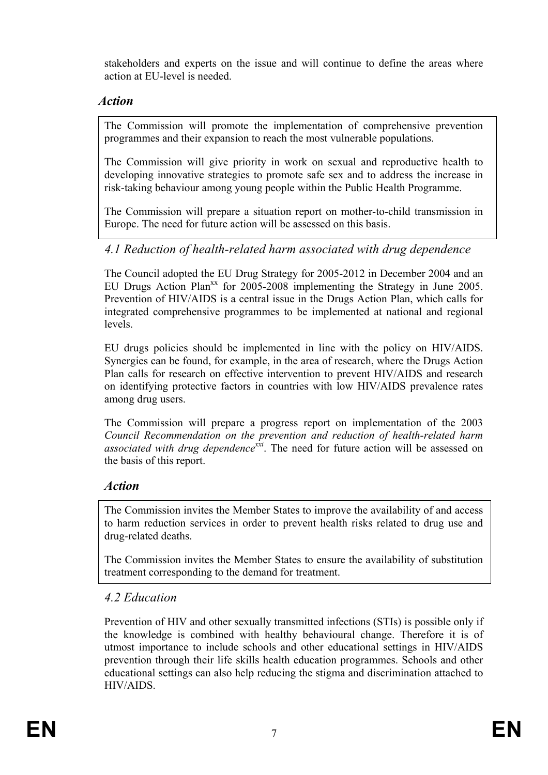stakeholders and experts on the issue and will continue to define the areas where action at EU-level is needed.

# *Action*

The Commission will promote the implementation of comprehensive prevention programmes and their expansion to reach the most vulnerable populations.

The Commission will give priority in work on sexual and reproductive health to developing innovative strategies to promote safe sex and to address the increase in risk-taking behaviour among young people within the Public Health Programme.

The Commission will prepare a situation report on mother-to-child transmission in Europe. The need for future action will be assessed on this basis.

# *4.1 Reduction of health-related harm associated with drug dependence*

The Council adopted the EU Drug Strategy for 2005-2012 in December 2004 and an EU Drugs Action Plan<sup>xx</sup> for 2005-2008 implementing the Strategy in June 2005. Prevention of HIV/AIDS is a central issue in the Drugs Action Plan, which calls for integrated comprehensive programmes to be implemented at national and regional levels.

EU drugs policies should be implemented in line with the policy on HIV/AIDS. Synergies can be found, for example, in the area of research, where the Drugs Action Plan calls for research on effective intervention to prevent HIV/AIDS and research on identifying protective factors in countries with low HIV/AIDS prevalence rates among drug users.

The Commission will prepare a progress report on implementation of the 2003 *Council Recommendation on the prevention and reduction of health-related harm associated with drug dependence*<sup>xxi</sup>. The need for future action will be assessed on the basis of this report.

# *Action*

The Commission invites the Member States to improve the availability of and access to harm reduction services in order to prevent health risks related to drug use and drug-related deaths.

The Commission invites the Member States to ensure the availability of substitution treatment corresponding to the demand for treatment.

# *4.2 Education*

Prevention of HIV and other sexually transmitted infections (STIs) is possible only if the knowledge is combined with healthy behavioural change. Therefore it is of utmost importance to include schools and other educational settings in HIV/AIDS prevention through their life skills health education programmes. Schools and other educational settings can also help reducing the stigma and discrimination attached to HIV/AIDS.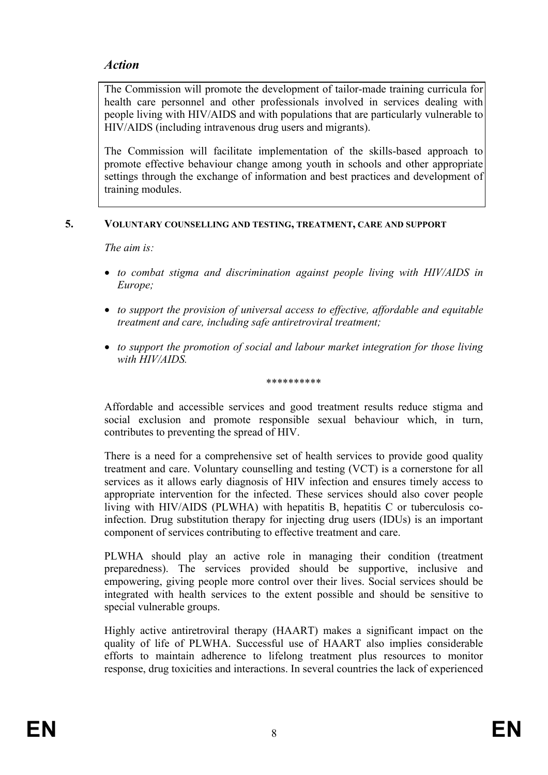# *Action*

The Commission will promote the development of tailor-made training curricula for health care personnel and other professionals involved in services dealing with people living with HIV/AIDS and with populations that are particularly vulnerable to HIV/AIDS (including intravenous drug users and migrants).

The Commission will facilitate implementation of the skills-based approach to promote effective behaviour change among youth in schools and other appropriate settings through the exchange of information and best practices and development of training modules.

### **5. VOLUNTARY COUNSELLING AND TESTING, TREATMENT, CARE AND SUPPORT**

*The aim is:* 

- *to combat stigma and discrimination against people living with HIV/AIDS in Europe;*
- *to support the provision of universal access to effective, affordable and equitable treatment and care, including safe antiretroviral treatment;*
- *to support the promotion of social and labour market integration for those living with HIV/AIDS.*

\*\*\*\*\*\*\*\*\*\*

Affordable and accessible services and good treatment results reduce stigma and social exclusion and promote responsible sexual behaviour which, in turn, contributes to preventing the spread of HIV.

There is a need for a comprehensive set of health services to provide good quality treatment and care. Voluntary counselling and testing (VCT) is a cornerstone for all services as it allows early diagnosis of HIV infection and ensures timely access to appropriate intervention for the infected. These services should also cover people living with HIV/AIDS (PLWHA) with hepatitis B, hepatitis C or tuberculosis coinfection. Drug substitution therapy for injecting drug users (IDUs) is an important component of services contributing to effective treatment and care.

PLWHA should play an active role in managing their condition (treatment preparedness). The services provided should be supportive, inclusive and empowering, giving people more control over their lives. Social services should be integrated with health services to the extent possible and should be sensitive to special vulnerable groups.

Highly active antiretroviral therapy (HAART) makes a significant impact on the quality of life of PLWHA. Successful use of HAART also implies considerable efforts to maintain adherence to lifelong treatment plus resources to monitor response, drug toxicities and interactions. In several countries the lack of experienced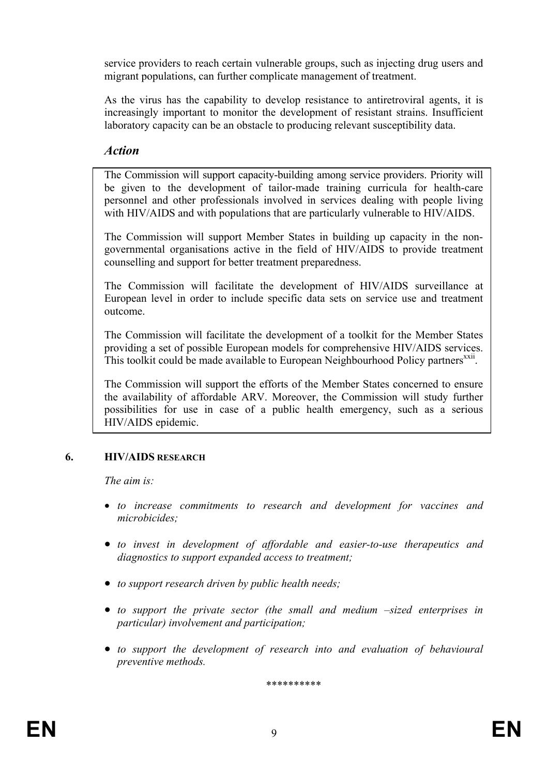service providers to reach certain vulnerable groups, such as injecting drug users and migrant populations, can further complicate management of treatment.

As the virus has the capability to develop resistance to antiretroviral agents, it is increasingly important to monitor the development of resistant strains. Insufficient laboratory capacity can be an obstacle to producing relevant susceptibility data.

# *Action*

The Commission will support capacity-building among service providers. Priority will be given to the development of tailor-made training curricula for health-care personnel and other professionals involved in services dealing with people living with HIV/AIDS and with populations that are particularly vulnerable to HIV/AIDS.

The Commission will support Member States in building up capacity in the nongovernmental organisations active in the field of HIV/AIDS to provide treatment counselling and support for better treatment preparedness.

The Commission will facilitate the development of HIV/AIDS surveillance at European level in order to include specific data sets on service use and treatment outcome.

The Commission will facilitate the development of a toolkit for the Member States providing a set of possible European models for comprehensive HIV/AIDS services. This toolkit could be made available to European Neighbourhood Policy partners<sup>xxii</sup>.

The Commission will support the efforts of the Member States concerned to ensure the availability of affordable ARV. Moreover, the Commission will study further possibilities for use in case of a public health emergency, such as a serious HIV/AIDS epidemic.

### **6. HIV/AIDS RESEARCH**

*The aim is:* 

- *to increase commitments to research and development for vaccines and microbicides;*
- *to invest in development of affordable and easier-to-use therapeutics and diagnostics to support expanded access to treatment;*
- *to support research driven by public health needs;*
- *to support the private sector (the small and medium –sized enterprises in particular) involvement and participation;*
- *to support the development of research into and evaluation of behavioural preventive methods.*

\*\*\*\*\*\*\*\*\*\*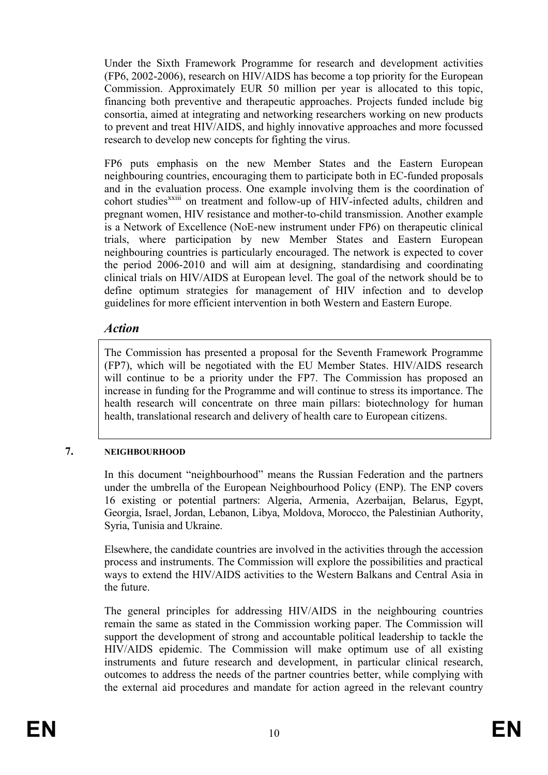Under the Sixth Framework Programme for research and development activities (FP6, 2002-2006), research on HIV/AIDS has become a top priority for the European Commission. Approximately EUR 50 million per year is allocated to this topic, financing both preventive and therapeutic approaches. Projects funded include big consortia, aimed at integrating and networking researchers working on new products to prevent and treat HIV/AIDS, and highly innovative approaches and more focussed research to develop new concepts for fighting the virus.

FP6 puts emphasis on the new Member States and the Eastern European neighbouring countries, encouraging them to participate both in EC-funded proposals and in the evaluation process. One example involving them is the coordination of cohort studies<sup>xxiii</sup> on treatment and follow-up of HIV-infected adults, children and pregnant women, HIV resistance and mother-to-child transmission. Another example is a Network of Excellence (NoE-new instrument under FP6) on therapeutic clinical trials, where participation by new Member States and Eastern European neighbouring countries is particularly encouraged. The network is expected to cover the period 2006-2010 and will aim at designing, standardising and coordinating clinical trials on HIV/AIDS at European level. The goal of the network should be to define optimum strategies for management of HIV infection and to develop guidelines for more efficient intervention in both Western and Eastern Europe.

# *Action*

The Commission has presented a proposal for the Seventh Framework Programme (FP7), which will be negotiated with the EU Member States. HIV/AIDS research will continue to be a priority under the FP7. The Commission has proposed an increase in funding for the Programme and will continue to stress its importance. The health research will concentrate on three main pillars: biotechnology for human health, translational research and delivery of health care to European citizens.

# **7. NEIGHBOURHOOD**

In this document "neighbourhood" means the Russian Federation and the partners under the umbrella of the European Neighbourhood Policy (ENP). The ENP covers 16 existing or potential partners: Algeria, Armenia, Azerbaijan, Belarus, Egypt, Georgia, Israel, Jordan, Lebanon, Libya, Moldova, Morocco, the Palestinian Authority, Syria, Tunisia and Ukraine.

Elsewhere, the candidate countries are involved in the activities through the accession process and instruments. The Commission will explore the possibilities and practical ways to extend the HIV/AIDS activities to the Western Balkans and Central Asia in the future.

The general principles for addressing HIV/AIDS in the neighbouring countries remain the same as stated in the Commission working paper. The Commission will support the development of strong and accountable political leadership to tackle the HIV/AIDS epidemic. The Commission will make optimum use of all existing instruments and future research and development, in particular clinical research, outcomes to address the needs of the partner countries better, while complying with the external aid procedures and mandate for action agreed in the relevant country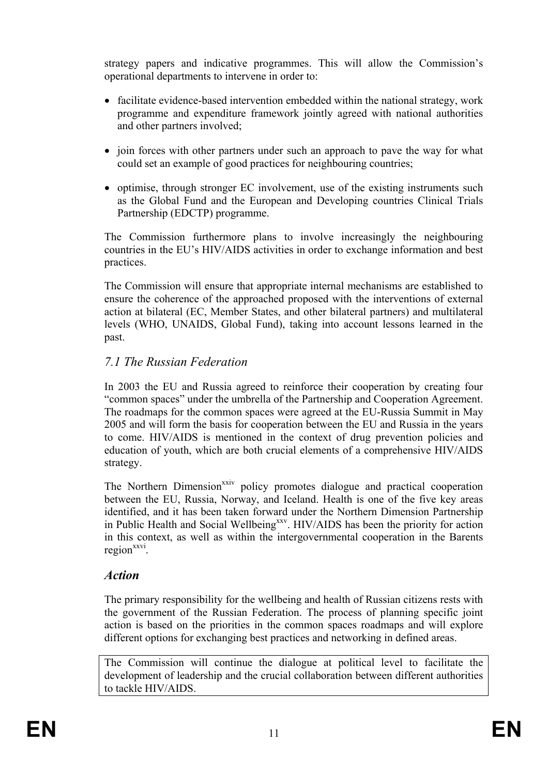strategy papers and indicative programmes. This will allow the Commission's operational departments to intervene in order to:

- facilitate evidence-based intervention embedded within the national strategy, work programme and expenditure framework jointly agreed with national authorities and other partners involved;
- join forces with other partners under such an approach to pave the way for what could set an example of good practices for neighbouring countries;
- optimise, through stronger EC involvement, use of the existing instruments such as the Global Fund and the European and Developing countries Clinical Trials Partnership (EDCTP) programme.

The Commission furthermore plans to involve increasingly the neighbouring countries in the EU's HIV/AIDS activities in order to exchange information and best practices.

The Commission will ensure that appropriate internal mechanisms are established to ensure the coherence of the approached proposed with the interventions of external action at bilateral (EC, Member States, and other bilateral partners) and multilateral levels (WHO, UNAIDS, Global Fund), taking into account lessons learned in the past.

# *7.1 The Russian Federation*

In 2003 the EU and Russia agreed to reinforce their cooperation by creating four "common spaces" under the umbrella of the Partnership and Cooperation Agreement. The roadmaps for the common spaces were agreed at the EU-Russia Summit in May 2005 and will form the basis for cooperation between the EU and Russia in the years to come. HIV/AIDS is mentioned in the context of drug prevention policies and education of youth, which are both crucial elements of a comprehensive HIV/AIDS strategy.

The Northern Dimension<sup>xxiv</sup> policy promotes dialogue and practical cooperation between the EU, Russia, Norway, and Iceland. Health is one of the five key areas identified, and it has been taken forward under the Northern Dimension Partnership in Public Health and Social Wellbeing<sup>xxv</sup>. HIV/AIDS has been the priority for action in this context, as well as within the intergovernmental cooperation in the Barents region<sup>xxvi</sup>.

# *Action*

The primary responsibility for the wellbeing and health of Russian citizens rests with the government of the Russian Federation. The process of planning specific joint action is based on the priorities in the common spaces roadmaps and will explore different options for exchanging best practices and networking in defined areas.

The Commission will continue the dialogue at political level to facilitate the development of leadership and the crucial collaboration between different authorities to tackle HIV/AIDS.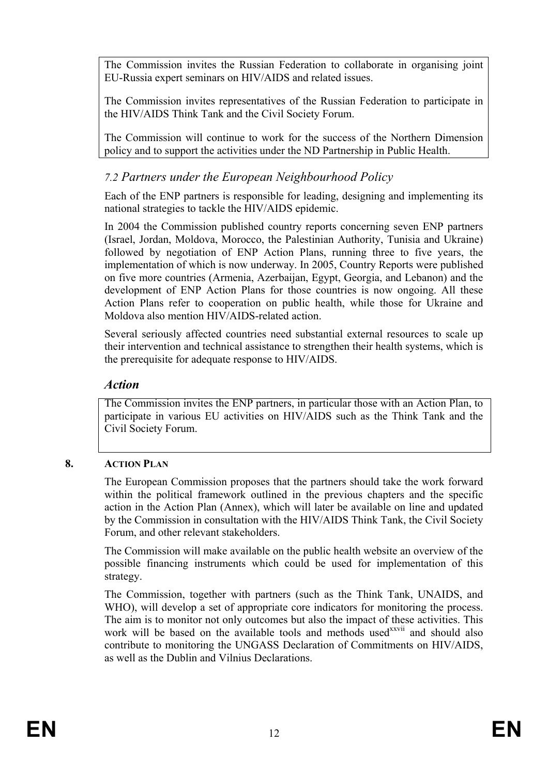The Commission invites the Russian Federation to collaborate in organising joint EU-Russia expert seminars on HIV/AIDS and related issues.

The Commission invites representatives of the Russian Federation to participate in the HIV/AIDS Think Tank and the Civil Society Forum.

The Commission will continue to work for the success of the Northern Dimension policy and to support the activities under the ND Partnership in Public Health.

# *7.2 Partners under the European Neighbourhood Policy*

Each of the ENP partners is responsible for leading, designing and implementing its national strategies to tackle the HIV/AIDS epidemic.

In 2004 the Commission published country reports concerning seven ENP partners (Israel, Jordan, Moldova, Morocco, the Palestinian Authority, Tunisia and Ukraine) followed by negotiation of ENP Action Plans, running three to five years, the implementation of which is now underway. In 2005, Country Reports were published on five more countries (Armenia, Azerbaijan, Egypt, Georgia, and Lebanon) and the development of ENP Action Plans for those countries is now ongoing. All these Action Plans refer to cooperation on public health, while those for Ukraine and Moldova also mention HIV/AIDS-related action.

Several seriously affected countries need substantial external resources to scale up their intervention and technical assistance to strengthen their health systems, which is the prerequisite for adequate response to HIV/AIDS.

### *Action*

The Commission invites the ENP partners, in particular those with an Action Plan, to participate in various EU activities on HIV/AIDS such as the Think Tank and the Civil Society Forum.

### **8. ACTION PLAN**

The European Commission proposes that the partners should take the work forward within the political framework outlined in the previous chapters and the specific action in the Action Plan (Annex), which will later be available on line and updated by the Commission in consultation with the HIV/AIDS Think Tank, the Civil Society Forum, and other relevant stakeholders.

The Commission will make available on the public health website an overview of the possible financing instruments which could be used for implementation of this strategy.

The Commission, together with partners (such as the Think Tank, UNAIDS, and WHO), will develop a set of appropriate core indicators for monitoring the process. The aim is to monitor not only outcomes but also the impact of these activities. This work will be based on the available tools and methods used<sup>xxvii</sup> and should also contribute to monitoring the UNGASS Declaration of Commitments on HIV/AIDS, as well as the Dublin and Vilnius Declarations.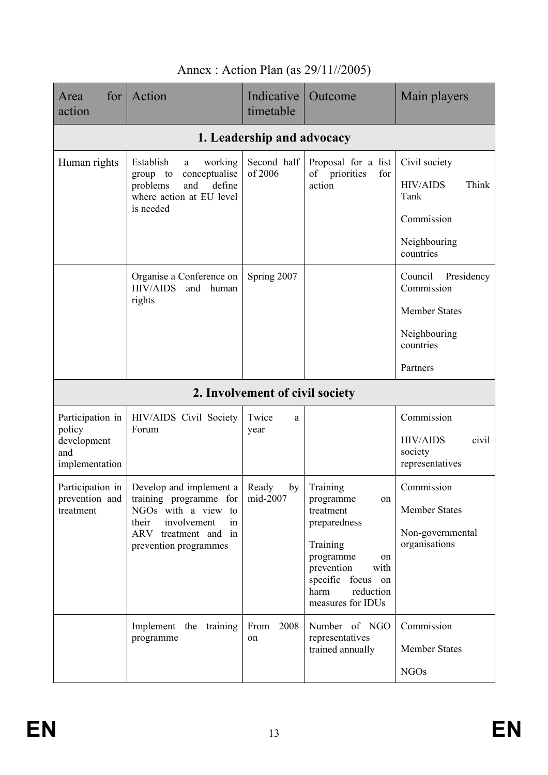| for <sub>l</sub><br>Area<br>action   | Action                                                                | Indicative<br>timetable         | Outcome                                                     | Main players                                           |
|--------------------------------------|-----------------------------------------------------------------------|---------------------------------|-------------------------------------------------------------|--------------------------------------------------------|
|                                      |                                                                       | 1. Leadership and advocacy      |                                                             |                                                        |
| Human rights                         | Establish<br>working<br>a<br>conceptualise<br>group to                | Second half<br>of 2006          | Proposal for a list<br>of<br>priorities<br>for              | Civil society                                          |
|                                      | problems<br>and<br>define<br>where action at EU level<br>is needed    |                                 | action                                                      | <b>HIV/AIDS</b><br>Think<br>Tank                       |
|                                      |                                                                       |                                 |                                                             | Commission                                             |
|                                      |                                                                       |                                 |                                                             | Neighbouring<br>countries                              |
|                                      | Organise a Conference on<br><b>HIV/AIDS</b><br>and<br>human<br>rights | Spring 2007                     |                                                             | Council<br>Presidency<br>Commission                    |
|                                      |                                                                       |                                 |                                                             | <b>Member States</b>                                   |
|                                      |                                                                       |                                 |                                                             | Neighbouring<br>countries                              |
|                                      |                                                                       |                                 |                                                             | Partners                                               |
|                                      |                                                                       | 2. Involvement of civil society |                                                             |                                                        |
| Participation in<br>policy           | HIV/AIDS Civil Society<br>Forum                                       | Twice<br>a<br>year              |                                                             | Commission                                             |
| development<br>and<br>implementation |                                                                       |                                 |                                                             | <b>HIV/AIDS</b><br>civil<br>society<br>representatives |
| Participation in                     | Develop and implement a<br>training programme for                     | Ready<br>by<br>mid-2007         | Training<br>programme                                       | Commission                                             |
| prevention and<br>treatment          | NGOs with a view to<br>involvement<br>their<br>in                     |                                 | on<br>treatment<br>preparedness                             | <b>Member States</b>                                   |
|                                      | ARV treatment and in<br>prevention programmes                         |                                 | Training                                                    | Non-governmental<br>organisations                      |
|                                      |                                                                       |                                 | programme<br>on<br>prevention<br>with                       |                                                        |
|                                      |                                                                       |                                 | specific focus on<br>reduction<br>harm<br>measures for IDUs |                                                        |
|                                      | Implement the training                                                | From 2008                       | Number of NGO                                               | Commission                                             |
|                                      | programme                                                             | on                              | representatives<br>trained annually                         | <b>Member States</b>                                   |
|                                      |                                                                       |                                 |                                                             | <b>NGOs</b>                                            |

# Annex : Action Plan (as 29/11//2005)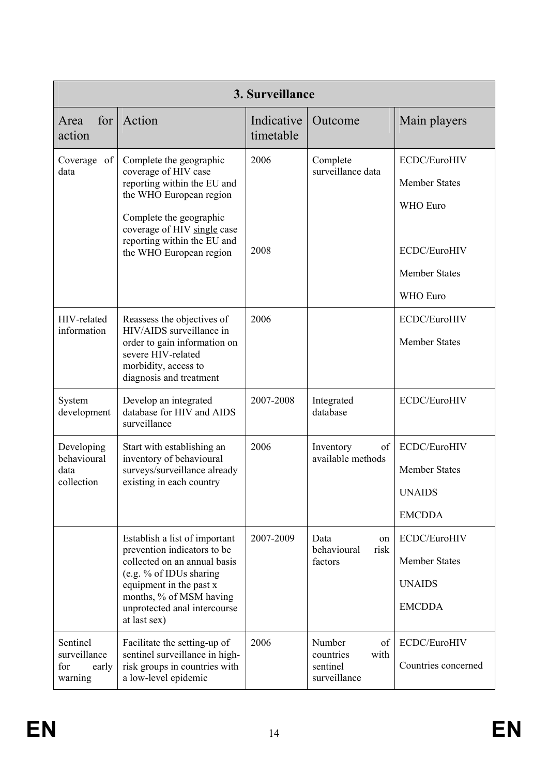| 3. Surveillance            |                                                                                         |                         |                                      |                      |
|----------------------------|-----------------------------------------------------------------------------------------|-------------------------|--------------------------------------|----------------------|
| for<br>Area<br>action      | Action                                                                                  | Indicative<br>timetable | Outcome                              | Main players         |
| Coverage of<br>data        | Complete the geographic<br>coverage of HIV case                                         | 2006                    | Complete<br>surveillance data        | ECDC/EuroHIV         |
|                            | reporting within the EU and                                                             |                         |                                      | <b>Member States</b> |
|                            | the WHO European region                                                                 |                         |                                      | WHO Euro             |
|                            | Complete the geographic<br>coverage of HIV single case                                  |                         |                                      |                      |
|                            | reporting within the EU and<br>the WHO European region                                  | 2008                    |                                      | ECDC/EuroHIV         |
|                            |                                                                                         |                         |                                      | <b>Member States</b> |
|                            |                                                                                         |                         |                                      | WHO Euro             |
| HIV-related<br>information | Reassess the objectives of<br>HIV/AIDS surveillance in                                  | 2006                    |                                      | ECDC/EuroHIV         |
|                            | order to gain information on<br>severe HIV-related                                      |                         |                                      | <b>Member States</b> |
|                            | morbidity, access to<br>diagnosis and treatment                                         |                         |                                      |                      |
| System<br>development      | Develop an integrated<br>database for HIV and AIDS<br>surveillance                      | 2007-2008               | Integrated<br>database               | ECDC/EuroHIV         |
| Developing<br>behavioural  | Start with establishing an                                                              | 2006                    | Inventory<br>of<br>available methods | ECDC/EuroHIV         |
| data                       | inventory of behavioural<br>surveys/surveillance already                                |                         |                                      | <b>Member States</b> |
| collection                 | existing in each country                                                                |                         |                                      | <b>UNAIDS</b>        |
|                            |                                                                                         |                         |                                      | <b>EMCDDA</b>        |
|                            | Establish a list of important                                                           | 2007-2009               | Data<br>on<br>behavioural<br>risk    | ECDC/EuroHIV         |
|                            | prevention indicators to be<br>collected on an annual basis                             |                         | factors                              | <b>Member States</b> |
|                            | (e.g. % of IDUs sharing<br>equipment in the past x                                      |                         |                                      | <b>UNAIDS</b>        |
|                            | months, % of MSM having<br>unprotected anal intercourse<br>at last sex)                 |                         |                                      | <b>EMCDDA</b>        |
| Sentinel<br>surveillance   | Facilitate the setting-up of                                                            | 2006                    | Number<br>of<br>countries<br>with    | ECDC/EuroHIV         |
| for<br>early<br>warning    | sentinel surveillance in high-<br>risk groups in countries with<br>a low-level epidemic |                         | sentinel<br>surveillance             | Countries concerned  |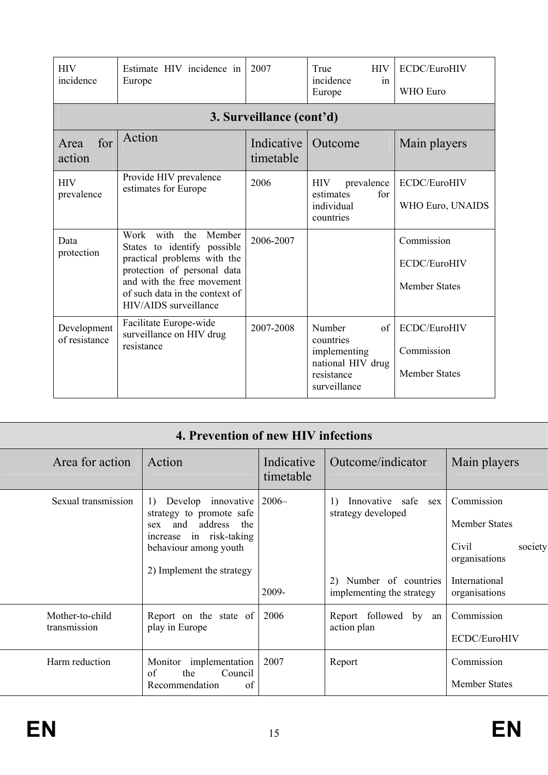| <b>HIV</b><br>incidence      | Estimate HIV incidence in<br>Europe                                                                                                                                                                              | 2007                     | True<br><b>HIV</b><br>incidence<br>in<br>Europe                                              | ECDC/EuroHIV<br><b>WHO</b> Euro                    |
|------------------------------|------------------------------------------------------------------------------------------------------------------------------------------------------------------------------------------------------------------|--------------------------|----------------------------------------------------------------------------------------------|----------------------------------------------------|
|                              |                                                                                                                                                                                                                  | 3. Surveillance (cont'd) |                                                                                              |                                                    |
| for<br>Area<br>action        | Action                                                                                                                                                                                                           | Indicative<br>timetable  | Outcome                                                                                      | Main players                                       |
| <b>HIV</b><br>prevalence     | Provide HIV prevalence<br>estimates for Europe                                                                                                                                                                   | 2006                     | prevalence<br><b>HIV</b><br>estimates<br>for<br>individual<br>countries                      | ECDC/EuroHIV<br>WHO Euro, UNAIDS                   |
| Data<br>protection           | Work with<br>the<br>Member<br>States to identify possible<br>practical problems with the<br>protection of personal data<br>and with the free movement<br>of such data in the context of<br>HIV/AIDS surveillance | 2006-2007                |                                                                                              | Commission<br>ECDC/EuroHIV<br><b>Member States</b> |
| Development<br>of resistance | Facilitate Europe-wide<br>surveillance on HIV drug<br>resistance                                                                                                                                                 | 2007-2008                | Number<br>of<br>countries<br>implementing<br>national HIV drug<br>resistance<br>surveillance | ECDC/EuroHIV<br>Commission<br><b>Member States</b> |

| 4. Prevention of new HIV infections |                                                                                                                                                                               |                         |                                                                                                                            |                                                                                                           |  |
|-------------------------------------|-------------------------------------------------------------------------------------------------------------------------------------------------------------------------------|-------------------------|----------------------------------------------------------------------------------------------------------------------------|-----------------------------------------------------------------------------------------------------------|--|
| Area for action                     | Action                                                                                                                                                                        | Indicative<br>timetable | Outcome/indicator                                                                                                          | Main players                                                                                              |  |
| Sexual transmission                 | Develop innovative<br>$\left  \right $<br>strategy to promote safe<br>and address the<br>sex<br>increase in risk-taking<br>behaviour among youth<br>2) Implement the strategy | $2006-$<br>2009-        | Innovative safe<br>$\left( \right)$<br>sex<br>strategy developed<br>Number of countries<br>2)<br>implementing the strategy | Commission<br><b>Member States</b><br>society<br>Civil<br>organisations<br>International<br>organisations |  |
| Mother-to-child<br>transmission     | Report on the state of<br>play in Europe                                                                                                                                      | 2006                    | Report followed by an<br>action plan                                                                                       | Commission<br>ECDC/EuroHIV                                                                                |  |
| Harm reduction                      | Monitor implementation<br>of<br>the<br>Council<br>Recommendation<br>of                                                                                                        | 2007                    | Report                                                                                                                     | Commission<br><b>Member States</b>                                                                        |  |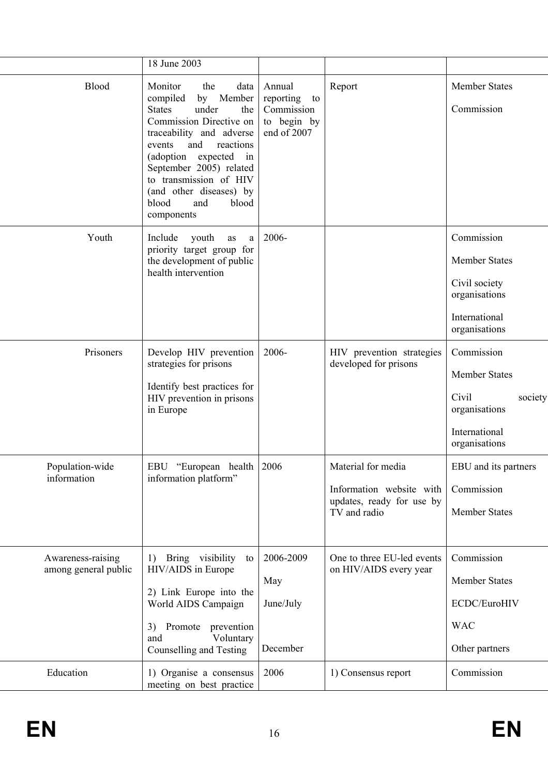|                                           | 18 June 2003                                                                                                                                                                                                                                                                                                             |                                                                       |                                                                                             |                                                                                                        |
|-------------------------------------------|--------------------------------------------------------------------------------------------------------------------------------------------------------------------------------------------------------------------------------------------------------------------------------------------------------------------------|-----------------------------------------------------------------------|---------------------------------------------------------------------------------------------|--------------------------------------------------------------------------------------------------------|
| <b>Blood</b>                              | Monitor<br>the<br>data<br>by Member<br>compiled<br><b>States</b><br>under<br>the<br>Commission Directive on<br>traceability and adverse<br>and<br>events<br>reactions<br>(adoption expected<br>in<br>September 2005) related<br>to transmission of HIV<br>(and other diseases) by<br>blood<br>blood<br>and<br>components | Annual<br>reporting<br>to<br>Commission<br>to begin by<br>end of 2007 | Report                                                                                      | <b>Member States</b><br>Commission                                                                     |
| Youth                                     | Include<br>youth<br>as<br>a<br>priority target group for<br>the development of public<br>health intervention                                                                                                                                                                                                             | 2006-                                                                 |                                                                                             | Commission<br><b>Member States</b><br>Civil society<br>organisations<br>International<br>organisations |
| Prisoners                                 | Develop HIV prevention<br>strategies for prisons<br>Identify best practices for<br>HIV prevention in prisons<br>in Europe                                                                                                                                                                                                | 2006-                                                                 | HIV prevention strategies<br>developed for prisons                                          | Commission<br>Member States<br>Civil<br>society<br>organisations<br>International<br>organisations     |
| Population-wide<br>information            | EBU "European health   2006<br>information platform"                                                                                                                                                                                                                                                                     |                                                                       | Material for media<br>Information website with<br>updates, ready for use by<br>TV and radio | EBU and its partners<br>Commission<br><b>Member States</b>                                             |
| Awareness-raising<br>among general public | Bring visibility<br>1)<br>to<br>HIV/AIDS in Europe<br>2) Link Europe into the<br>World AIDS Campaign<br>Promote prevention<br>3)<br>and<br>Voluntary<br>Counselling and Testing                                                                                                                                          | 2006-2009<br>May<br>June/July<br>December                             | One to three EU-led events<br>on HIV/AIDS every year                                        | Commission<br><b>Member States</b><br>ECDC/EuroHIV<br><b>WAC</b><br>Other partners                     |
| Education                                 | 1) Organise a consensus<br>meeting on best practice                                                                                                                                                                                                                                                                      | 2006                                                                  | 1) Consensus report                                                                         | Commission                                                                                             |

Ξ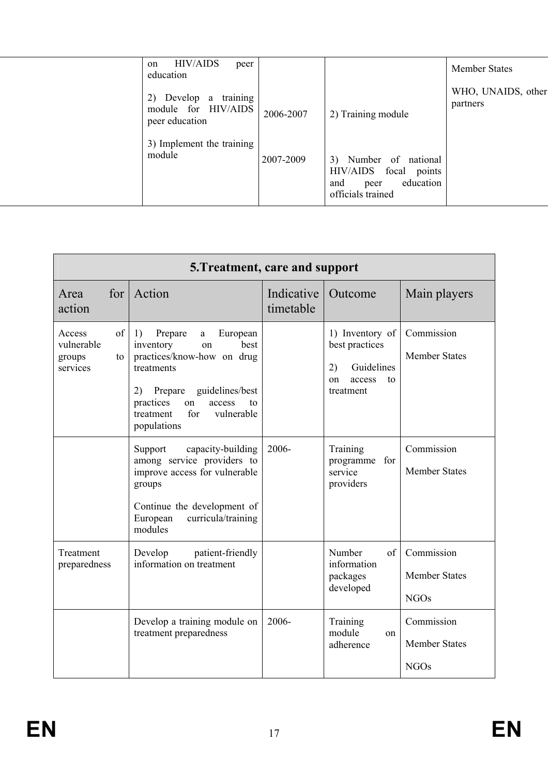| <b>HIV/AIDS</b><br>peer<br>on<br>education                           |           |                                                                                                    | <b>Member States</b>           |
|----------------------------------------------------------------------|-----------|----------------------------------------------------------------------------------------------------|--------------------------------|
| training<br>Develop a<br>2)<br>module for HIV/AIDS<br>peer education | 2006-2007 | 2) Training module                                                                                 | WHO, UNAIDS, other<br>partners |
| 3) Implement the training<br>module                                  | 2007-2009 | Number of national<br>3)<br>HIV/AIDS focal points<br>education<br>and<br>peer<br>officials trained |                                |
|                                                                      |           |                                                                                                    |                                |

| 5. Treatment, care and support                         |                                                                                                                                                                                                                               |                         |                                                                                          |                                                   |
|--------------------------------------------------------|-------------------------------------------------------------------------------------------------------------------------------------------------------------------------------------------------------------------------------|-------------------------|------------------------------------------------------------------------------------------|---------------------------------------------------|
| Area<br>action                                         | for Action                                                                                                                                                                                                                    | Indicative<br>timetable | Outcome                                                                                  | Main players                                      |
| of<br>Access<br>vulnerable<br>groups<br>to<br>services | Prepare<br>1)<br>European<br>a<br>best<br>inventory<br>on<br>practices/know-how on drug<br>treatments<br>guidelines/best<br>Prepare<br>2)<br>practices<br>access<br>on<br>to<br>for<br>vulnerable<br>treatment<br>populations |                         | 1) Inventory of<br>best practices<br>Guidelines<br>2)<br>access<br>to<br>on<br>treatment | Commission<br><b>Member States</b>                |
|                                                        | Support<br>capacity-building<br>among service providers to<br>improve access for vulnerable<br>groups<br>Continue the development of<br>European<br>curricula/training<br>modules                                             | $2006 -$                | Training<br>programme for<br>service<br>providers                                        | Commission<br><b>Member States</b>                |
| Treatment<br>preparedness                              | patient-friendly<br>Develop<br>information on treatment                                                                                                                                                                       |                         | Number<br>of<br>information<br>packages<br>developed                                     | Commission<br><b>Member States</b><br><b>NGOs</b> |
|                                                        | Develop a training module on<br>treatment preparedness                                                                                                                                                                        | 2006-                   | Training<br>module<br><sub>on</sub><br>adherence                                         | Commission<br><b>Member States</b><br><b>NGOs</b> |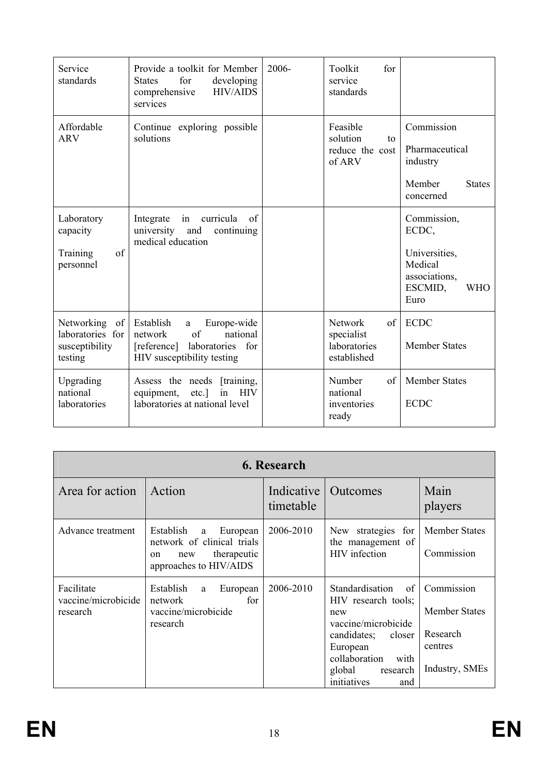| Service<br>standards                                                | Provide a toolkit for Member<br>for<br><b>States</b><br>developing<br><b>HIV/AIDS</b><br>comprehensive<br>services                        | 2006- | Toolkit<br>for<br>service<br>standards                             |                                                                                                    |
|---------------------------------------------------------------------|-------------------------------------------------------------------------------------------------------------------------------------------|-------|--------------------------------------------------------------------|----------------------------------------------------------------------------------------------------|
| Affordable<br><b>ARV</b>                                            | Continue exploring possible<br>solutions                                                                                                  |       | Feasible<br>solution<br>$\mathsf{to}$<br>reduce the cost<br>of ARV | Commission<br>Pharmaceutical<br>industry<br>Member<br><b>States</b><br>concerned                   |
| Laboratory<br>capacity<br>of<br>Training<br>personnel               | Integrate<br>curricula<br>of<br>in<br>university<br>and<br>continuing<br>medical education                                                |       |                                                                    | Commission,<br>ECDC,<br>Universities,<br>Medical<br>associations,<br>ESCMID,<br><b>WHO</b><br>Euro |
| Networking<br>of  <br>laboratories for<br>susceptibility<br>testing | Establish<br>Europe-wide<br>$\mathbf{a}$<br>of<br>national<br>network<br>laboratories<br>[reference]<br>for<br>HIV susceptibility testing |       | <b>Network</b><br>of<br>specialist<br>laboratories<br>established  | <b>ECDC</b><br><b>Member States</b>                                                                |
| Upgrading<br>national<br>laboratories                               | Assess the needs [training,<br><b>HIV</b><br>equipment,<br>$etc.$ ]<br>in<br>laboratories at national level                               |       | Number<br>of<br>national<br>inventories<br>ready                   | <b>Member States</b><br><b>ECDC</b>                                                                |

| 6. Research                                   |                                                                                                                |                         |                                                                                                                                                                                      |                                                                             |  |
|-----------------------------------------------|----------------------------------------------------------------------------------------------------------------|-------------------------|--------------------------------------------------------------------------------------------------------------------------------------------------------------------------------------|-----------------------------------------------------------------------------|--|
| Area for action                               | Action                                                                                                         | Indicative<br>timetable | Outcomes                                                                                                                                                                             | Main<br>players                                                             |  |
| Advance treatment                             | Establish<br>European<br>a<br>network of clinical trials<br>therapeutic<br>new<br>on<br>approaches to HIV/AIDS | 2006-2010               | New strategies for<br>the management of<br>HIV infection                                                                                                                             | <b>Member States</b><br>Commission                                          |  |
| Facilitate<br>vaccine/microbicide<br>research | Establish<br>European<br>a<br>network<br>for<br>vaccine/microbicide<br>research                                | 2006-2010               | Standardisation<br>of<br>HIV research tools;<br>new<br>vaccine/microbicide<br>candidates;<br>closer<br>European<br>collaboration<br>with<br>global<br>research<br>initiatives<br>and | Commission<br><b>Member States</b><br>Research<br>centres<br>Industry, SMEs |  |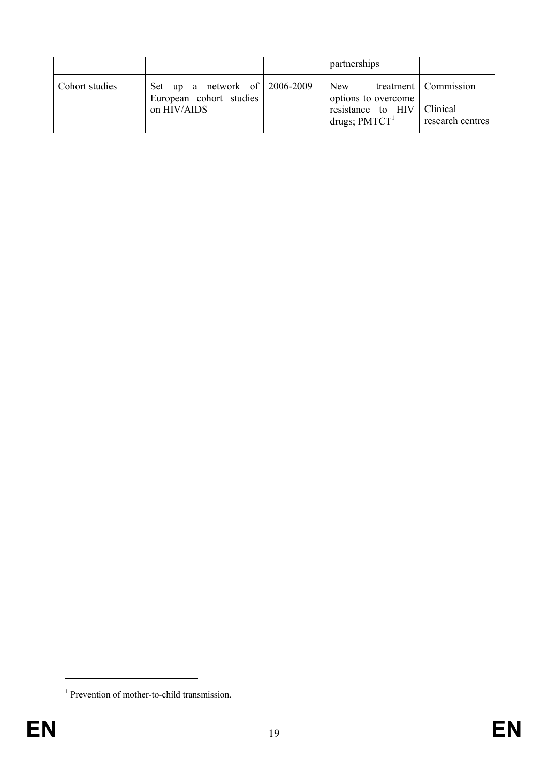|                |                                                                         | partnerships                                                       |                                                        |
|----------------|-------------------------------------------------------------------------|--------------------------------------------------------------------|--------------------------------------------------------|
| Cohort studies | Set up a network of 2006-2009<br>European cohort studies<br>on HIV/AIDS | New<br>options to overcome<br>resistance to HIV<br>drugs; $PMTCT1$ | treatment   Commission<br>Clinical<br>research centres |

1

<sup>&</sup>lt;sup>1</sup> Prevention of mother-to-child transmission.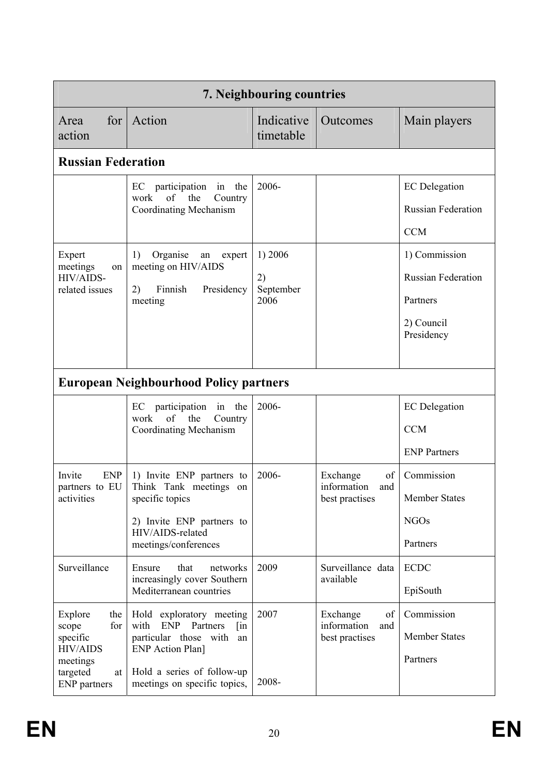| 7. Neighbouring countries                                                                                          |                                                                                                                                                                                              |                                    |                                                        |                                                                                    |
|--------------------------------------------------------------------------------------------------------------------|----------------------------------------------------------------------------------------------------------------------------------------------------------------------------------------------|------------------------------------|--------------------------------------------------------|------------------------------------------------------------------------------------|
| for  <br>Area<br>action                                                                                            | Action                                                                                                                                                                                       | Indicative<br>timetable            | Outcomes                                               | Main players                                                                       |
| <b>Russian Federation</b>                                                                                          |                                                                                                                                                                                              |                                    |                                                        |                                                                                    |
|                                                                                                                    | the<br>EC participation<br>in<br>work<br>of the<br>Country<br><b>Coordinating Mechanism</b>                                                                                                  | 2006-                              |                                                        | <b>EC</b> Delegation<br><b>Russian Federation</b><br><b>CCM</b>                    |
| Expert<br>meetings<br>on<br>HIV/AIDS-<br>related issues                                                            | Organise<br>1)<br>an<br>expert<br>meeting on HIV/AIDS<br>Finnish<br>2)<br>Presidency<br>meeting                                                                                              | 1) 2006<br>2)<br>September<br>2006 |                                                        | 1) Commission<br><b>Russian Federation</b><br>Partners<br>2) Council<br>Presidency |
|                                                                                                                    | <b>European Neighbourhood Policy partners</b>                                                                                                                                                |                                    |                                                        |                                                                                    |
|                                                                                                                    | EC participation<br>in the<br>of the<br>work<br>Country<br><b>Coordinating Mechanism</b>                                                                                                     | 2006-                              |                                                        | <b>EC</b> Delegation<br><b>CCM</b><br><b>ENP Partners</b>                          |
| <b>ENP</b><br>Invite<br>partners to EU<br>activities                                                               | 1) Invite ENP partners to<br>Think Tank meetings<br>on<br>specific topics<br>2) Invite ENP partners to<br>HIV/AIDS-related<br>meetings/conferences                                           | 2006-                              | Exchange<br>of<br>information<br>and<br>best practises | Commission<br><b>Member States</b><br><b>NGOs</b><br>Partners                      |
| Surveillance                                                                                                       | Ensure<br>that<br>networks<br>increasingly cover Southern<br>Mediterranean countries                                                                                                         | 2009                               | Surveillance data<br>available                         | <b>ECDC</b><br>EpiSouth                                                            |
| Explore<br>the<br>for<br>scope<br>specific<br><b>HIV/AIDS</b><br>meetings<br>targeted<br>at<br><b>ENP</b> partners | Hold exploratory meeting<br>with<br><b>ENP</b><br>Partners<br>$\lim$<br>particular those with<br>an<br><b>ENP</b> Action Plan]<br>Hold a series of follow-up<br>meetings on specific topics, | 2007<br>2008-                      | Exchange<br>of<br>information<br>and<br>best practises | Commission<br><b>Member States</b><br>Partners                                     |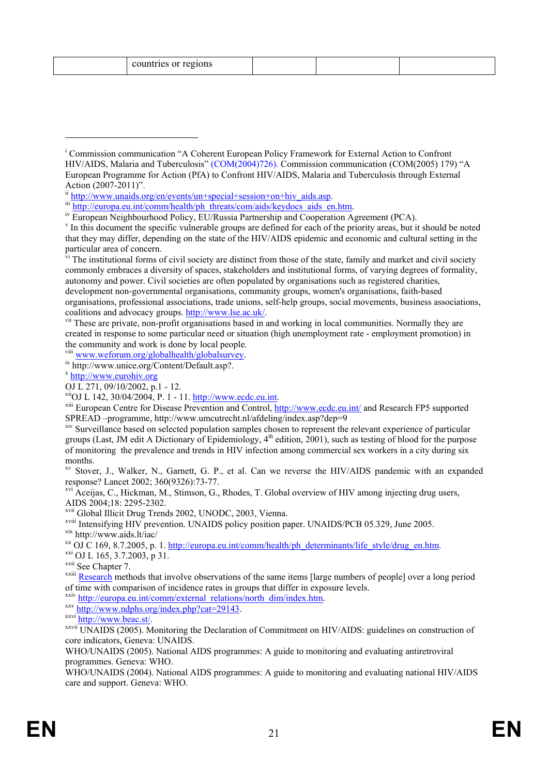| countries or regions |  |  |
|----------------------|--|--|
|                      |  |  |

v In this document the specific vulnerable groups are defined for each of the priority areas, but it should be noted that they may differ, depending on the state of the HIV/AIDS epidemic and economic and cultural setting in the particular area of concern.

 $\vec{v}$  The institutional forms of civil society are distinct from those of the state, family and market and civil society commonly embraces a diversity of spaces, stakeholders and institutional forms, of varying degrees of formality, autonomy and power. Civil societies are often populated by organisations such as registered charities, development non-governmental organisations, community groups, women's organisations, faith-based organisations, professional associations, trade unions, self-help groups, social movements, business associations, coalitions and advocacy groups.  $\frac{http://www.lse.ac.uk/}{http://www.lse.ac.uk/}$ .<br>v<sup>ii</sup> These are private, non-profit organisations based in and working in local communities. Normally they are

created in response to some particular need or situation (high unemployment rate - employment promotion) in the community and work is done by local people.

viii www.weforum.org/globalhealth/globalsurvey.<br>ix http://www.unice.org/Content/Default.asp?.<br>x http://www.eurohiv.org

1

<sup>xiii</sup> European Centre for Disease Prevention and Control, http://www.ecdc.eu.int/ and Research FP5 supported SPREAD –programme, http://www.umcutrecht.nl/afdeling/index.asp?dep=9

xv Stover, J., Walker, N., Garnett, G. P., et al. Can we reverse the HIV/AIDS pandemic with an expanded response? Lancet 2002; 360(9326):73-77.

xvi Aceijas, C., Hickman, M., Stimson, G., Rhodes, T. Global overview of HIV among injecting drug users, AIDS 2004;18: 2295-2302.

<sup>xvii</sup> Global Illicit Drug Trends 2002, UNODC, 2003, Vienna.<br><sup>xviii</sup> Intensifying HIV prevention. UNAIDS policy position paper. UNAIDS/PCB 05.329, June 2005.

xix http://www.aids.lt/iac/<br>xx OJ C 169, 8.7.2005, p. 1. http://europa.eu.int/comm/health/ph\_determinants/life\_style/drug\_en.htm.<br>xxi OJ L 165, 3.7.2003, p 31.<br>xxii See Chapter 7.<br>xxiii <u>Research</u> methods that involve obs

of time with comparison of incidence rates in groups that differ in exposure levels.

xxiv http://europa.eu.int/comm/external\_relations/north\_dim/index.htm.<br>xxx<sub>i</sub> http://www.ndphs.org/index.php?cat=29143.<br>xxxii http://www.beac.st/.<br>xxxii UNAIDS (2005). Monitoring the Declaration of Commitment on HIV/AIDS: core indicators, Geneva: UNAIDS.

WHO/UNAIDS (2005). National AIDS programmes: A guide to monitoring and evaluating antiretroviral programmes. Geneva: WHO.

WHO/UNAIDS (2004). National AIDS programmes: A guide to monitoring and evaluating national HIV/AIDS care and support. Geneva: WHO.

<sup>&</sup>lt;sup>i</sup> Commission communication "A Coherent European Policy Framework for External Action to Confront HIV/AIDS, Malaria and Tuberculosis" (COM(2004)726). Commission communication (COM(2005) 179) "A European Programme for Action (PfA) to Confront HIV/AIDS, Malaria and Tuberculosis through External Action (2007-2011)".<br>
ii http://www.unaids.org/en/events/un+special+session+on+hiv aids.asp.

iii http://europa.eu.int/comm/health/ph\_threats/com/aids/keydocs\_aids\_en.htm.<br>iv European Neighbourhood Policy, EU/Russia Partnership and Cooperation Agreement (PCA).

OJ L 271, 09/10/2002, p.1 - 12.<br><sup>xii</sup>OJ L 142, 30/04/2004, P. 1 - 11. http://www.ecdc.eu.int.

xiv Surveillance based on selected population samples chosen to represent the relevant experience of particular groups (Last, JM edit A Dictionary of Epidemiology,  $4<sup>th</sup>$  edition, 2001), such as testing of blood for the purpose of monitoring the prevalence and trends in HIV infection among commercial sex workers in a city during six months.